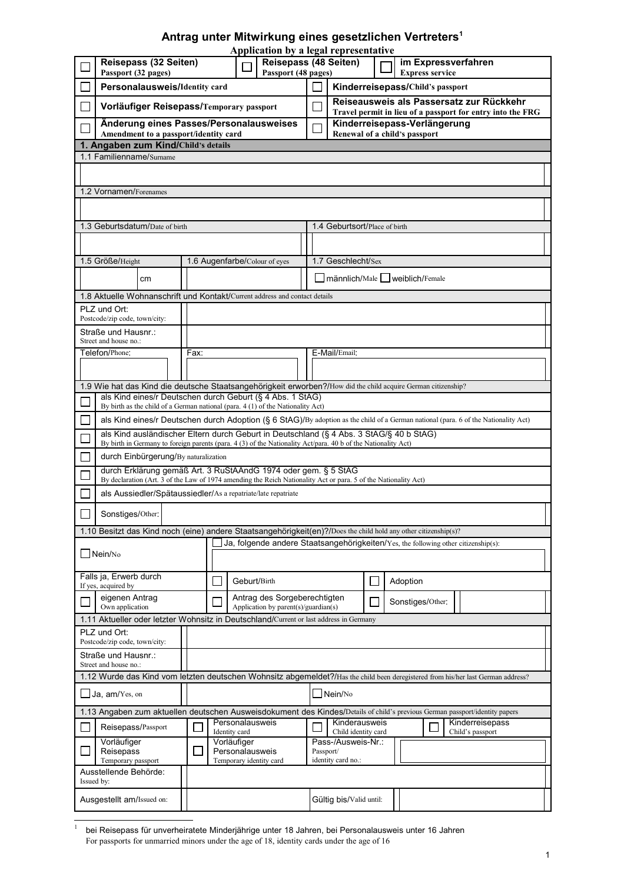## **Antrag unter Mitwirkung eines gesetzlichen Vertreters[1](#page-0-0)**

| Application by a legal representative                                                                                                                                                                    |                                                                                                                                                                                   |      |                                |                                                                             |                                   |                                                                            |          |                  |  |  |  |  |
|----------------------------------------------------------------------------------------------------------------------------------------------------------------------------------------------------------|-----------------------------------------------------------------------------------------------------------------------------------------------------------------------------------|------|--------------------------------|-----------------------------------------------------------------------------|-----------------------------------|----------------------------------------------------------------------------|----------|------------------|--|--|--|--|
| Reisepass (48 Seiten)<br>Reisepass (32 Seiten)<br>im Expressverfahren                                                                                                                                    |                                                                                                                                                                                   |      |                                |                                                                             |                                   |                                                                            |          |                  |  |  |  |  |
|                                                                                                                                                                                                          | Passport (48 pages)<br>Passport (32 pages)<br>Personalausweis/Identity card                                                                                                       |      |                                |                                                                             |                                   | <b>Express service</b><br>Kinderreisepass/Child's passport                 |          |                  |  |  |  |  |
|                                                                                                                                                                                                          |                                                                                                                                                                                   |      |                                |                                                                             |                                   | Reiseausweis als Passersatz zur Rückkehr                                   |          |                  |  |  |  |  |
|                                                                                                                                                                                                          | Vorläufiger Reisepass/Temporary passport                                                                                                                                          |      |                                |                                                                             |                                   | $\mathbf{L}$<br>Travel permit in lieu of a passport for entry into the FRG |          |                  |  |  |  |  |
| Änderung eines Passes/Personalausweises<br>Amendment to a passport/identity card                                                                                                                         |                                                                                                                                                                                   |      |                                |                                                                             |                                   | Kinderreisepass-Verlängerung<br>Renewal of a child's passport              |          |                  |  |  |  |  |
| 1. Angaben zum Kind/Child's details                                                                                                                                                                      |                                                                                                                                                                                   |      |                                |                                                                             |                                   |                                                                            |          |                  |  |  |  |  |
| 1.1 Familienname/Sumame                                                                                                                                                                                  |                                                                                                                                                                                   |      |                                |                                                                             |                                   |                                                                            |          |                  |  |  |  |  |
| 1.2 Vornamen/Forenames                                                                                                                                                                                   |                                                                                                                                                                                   |      |                                |                                                                             |                                   |                                                                            |          |                  |  |  |  |  |
|                                                                                                                                                                                                          |                                                                                                                                                                                   |      |                                |                                                                             |                                   |                                                                            |          |                  |  |  |  |  |
| 1.3 Geburtsdatum/Date of birth                                                                                                                                                                           |                                                                                                                                                                                   |      |                                |                                                                             |                                   | 1.4 Geburtsort/Place of birth                                              |          |                  |  |  |  |  |
|                                                                                                                                                                                                          |                                                                                                                                                                                   |      |                                |                                                                             |                                   |                                                                            |          |                  |  |  |  |  |
|                                                                                                                                                                                                          | 1.5 Größe/Height                                                                                                                                                                  |      |                                | 1.6 Augenfarbe/Colour of eyes                                               | 1.7 Geschlecht/Sex                |                                                                            |          |                  |  |  |  |  |
|                                                                                                                                                                                                          | cm                                                                                                                                                                                |      |                                |                                                                             | ■ männlich/Male ■ weiblich/Female |                                                                            |          |                  |  |  |  |  |
| 1.8 Aktuelle Wohnanschrift und Kontakt/Current address and contact details                                                                                                                               |                                                                                                                                                                                   |      |                                |                                                                             |                                   |                                                                            |          |                  |  |  |  |  |
|                                                                                                                                                                                                          | PLZ und Ort:<br>Postcode/zip code, town/city:                                                                                                                                     |      |                                |                                                                             |                                   |                                                                            |          |                  |  |  |  |  |
|                                                                                                                                                                                                          | Straße und Hausnr.:<br>Street and house no.:                                                                                                                                      |      |                                |                                                                             |                                   |                                                                            |          |                  |  |  |  |  |
|                                                                                                                                                                                                          | Telefon/Phone:                                                                                                                                                                    | Fax: |                                |                                                                             |                                   | E-Mail/Email:                                                              |          |                  |  |  |  |  |
|                                                                                                                                                                                                          |                                                                                                                                                                                   |      |                                |                                                                             |                                   |                                                                            |          |                  |  |  |  |  |
| 1.9 Wie hat das Kind die deutsche Staatsangehörigkeit erworben?/How did the child acquire German citizenship?                                                                                            |                                                                                                                                                                                   |      |                                |                                                                             |                                   |                                                                            |          |                  |  |  |  |  |
|                                                                                                                                                                                                          | als Kind eines/r Deutschen durch Geburt (§ 4 Abs. 1 StAG)<br>By birth as the child of a German national (para. 4 (1) of the Nationality Act)                                      |      |                                |                                                                             |                                   |                                                                            |          |                  |  |  |  |  |
|                                                                                                                                                                                                          | als Kind eines/r Deutschen durch Adoption (§ 6 StAG)/By adoption as the child of a German national (para. 6 of the Nationality Act)                                               |      |                                |                                                                             |                                   |                                                                            |          |                  |  |  |  |  |
| als Kind ausländischer Eltern durch Geburt in Deutschland (§ 4 Abs. 3 StAG/§ 40 b StAG)<br>By birth in Germany to foreign parents (para. 4 (3) of the Nationality Act/para. 40 b of the Nationality Act) |                                                                                                                                                                                   |      |                                |                                                                             |                                   |                                                                            |          |                  |  |  |  |  |
|                                                                                                                                                                                                          | durch Einbürgerung/By naturalization                                                                                                                                              |      |                                |                                                                             |                                   |                                                                            |          |                  |  |  |  |  |
|                                                                                                                                                                                                          | durch Erklärung gemäß Art. 3 RuStAÄndG 1974 oder gem. § 5 StAG<br>By declaration (Art. 3 of the Law of 1974 amending the Reich Nationality Act or para. 5 of the Nationality Act) |      |                                |                                                                             |                                   |                                                                            |          |                  |  |  |  |  |
| als Aussiedler/Spätaussiedler/As a repatriate/late repatriate                                                                                                                                            |                                                                                                                                                                                   |      |                                |                                                                             |                                   |                                                                            |          |                  |  |  |  |  |
| Sonstiges/Other:                                                                                                                                                                                         |                                                                                                                                                                                   |      |                                |                                                                             |                                   |                                                                            |          |                  |  |  |  |  |
| 1.10 Besitzt das Kind noch (eine) andere Staatsangehörigkeit(en)?/Does the child hold any other citizenship(s)?                                                                                          |                                                                                                                                                                                   |      |                                |                                                                             |                                   |                                                                            |          |                  |  |  |  |  |
| $\Box$ Ja, folgende andere Staatsangehörigkeiten/Yes, the following other citizenship(s):<br>$\Box$ Nein/No                                                                                              |                                                                                                                                                                                   |      |                                |                                                                             |                                   |                                                                            |          |                  |  |  |  |  |
| Falls ja, Erwerb durch<br>If yes, acquired by                                                                                                                                                            |                                                                                                                                                                                   |      |                                | Geburt/Birth                                                                |                                   |                                                                            | Adoption |                  |  |  |  |  |
| eigenen Antrag<br>Own application                                                                                                                                                                        |                                                                                                                                                                                   |      |                                | Antrag des Sorgeberechtigten<br>Application by parent(s)/guardian(s)        |                                   |                                                                            |          | Sonstiges/Other: |  |  |  |  |
| 1.11 Aktueller oder letzter Wohnsitz in Deutschland/Current or last address in Germany                                                                                                                   |                                                                                                                                                                                   |      |                                |                                                                             |                                   |                                                                            |          |                  |  |  |  |  |
|                                                                                                                                                                                                          | PLZ und Ort:<br>Postcode/zip code, town/city:                                                                                                                                     |      |                                |                                                                             |                                   |                                                                            |          |                  |  |  |  |  |
| Straße und Hausnr.:                                                                                                                                                                                      |                                                                                                                                                                                   |      |                                |                                                                             |                                   |                                                                            |          |                  |  |  |  |  |
| Street and house no.:<br>1.12 Wurde das Kind vom letzten deutschen Wohnsitz abgemeldet?/Has the child been deregistered from his/her last German address?                                                |                                                                                                                                                                                   |      |                                |                                                                             |                                   |                                                                            |          |                  |  |  |  |  |
| $\Box$ Nein/No<br>$\Box$ Ja, am/Yes, on                                                                                                                                                                  |                                                                                                                                                                                   |      |                                |                                                                             |                                   |                                                                            |          |                  |  |  |  |  |
| 1.13 Angaben zum aktuellen deutschen Ausweisdokument des Kindes/Details of child's previous German passport/identity papers                                                                              |                                                                                                                                                                                   |      |                                |                                                                             |                                   |                                                                            |          |                  |  |  |  |  |
|                                                                                                                                                                                                          | Personalausweis<br>Reisepass/Passport<br>Identity card                                                                                                                            |      |                                | Kinderausweis<br>Kinderreisepass<br>Child identity card<br>Child's passport |                                   |                                                                            |          |                  |  |  |  |  |
|                                                                                                                                                                                                          | Vorläufiger<br>Reisepass                                                                                                                                                          |      | Vorläufiger<br>Personalausweis |                                                                             | Pass-/Ausweis-Nr.:<br>Passport/   |                                                                            |          |                  |  |  |  |  |
| Temporary passport<br>Temporary identity card<br>identity card no.:<br>Ausstellende Behörde:<br>Issued by:                                                                                               |                                                                                                                                                                                   |      |                                |                                                                             |                                   |                                                                            |          |                  |  |  |  |  |
| Ausgestellt am/Issued on:                                                                                                                                                                                |                                                                                                                                                                                   |      |                                |                                                                             |                                   |                                                                            |          |                  |  |  |  |  |
|                                                                                                                                                                                                          |                                                                                                                                                                                   |      |                                |                                                                             | Gültig bis/Valid until:           |                                                                            |          |                  |  |  |  |  |

<span id="page-0-0"></span>1 bei Reisepass für unverheiratete Minderjährige unter 18 Jahren, bei Personalausweis unter 16 Jahren For passports for unmarried minors under the age of 18, identity cards under the age of 16